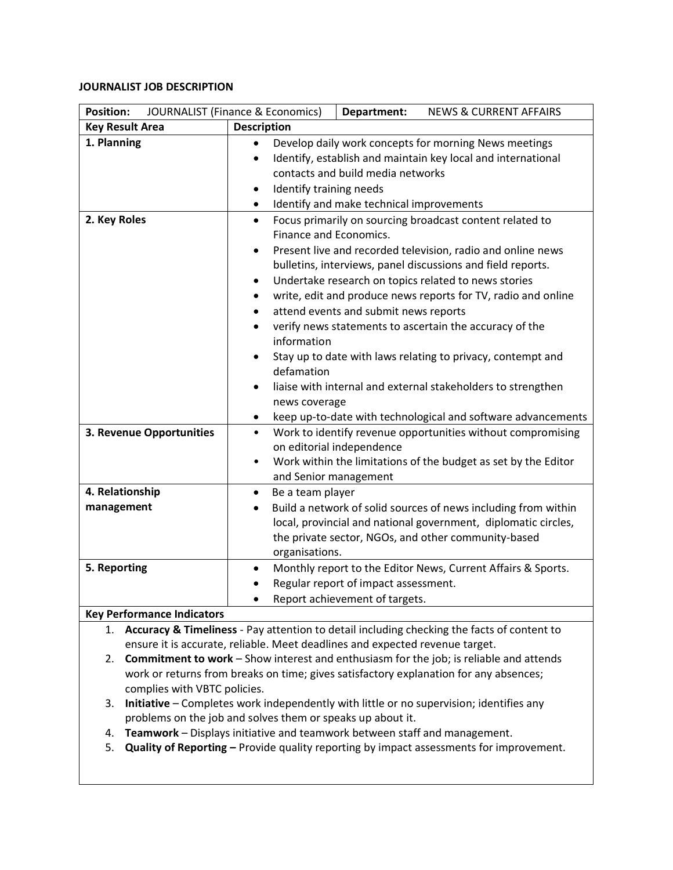## **JOURNALIST JOB DESCRIPTION**

| <b>Position:</b><br><b>JOURNALIST (Finance &amp; Economics)</b> |                                                                                    | Department:                                                                                                                                                                                                                                                                                                                                                                                                                                                                                                                                                                                                                                                   | <b>NEWS &amp; CURRENT AFFAIRS</b>                                                                                                                                                       |  |
|-----------------------------------------------------------------|------------------------------------------------------------------------------------|---------------------------------------------------------------------------------------------------------------------------------------------------------------------------------------------------------------------------------------------------------------------------------------------------------------------------------------------------------------------------------------------------------------------------------------------------------------------------------------------------------------------------------------------------------------------------------------------------------------------------------------------------------------|-----------------------------------------------------------------------------------------------------------------------------------------------------------------------------------------|--|
| <b>Key Result Area</b>                                          | <b>Description</b>                                                                 |                                                                                                                                                                                                                                                                                                                                                                                                                                                                                                                                                                                                                                                               |                                                                                                                                                                                         |  |
| 1. Planning                                                     | $\bullet$<br>٠<br>$\bullet$                                                        | Develop daily work concepts for morning News meetings<br>Identify, establish and maintain key local and international<br>contacts and build media networks<br>Identify training needs<br>Identify and make technical improvements                                                                                                                                                                                                                                                                                                                                                                                                                             |                                                                                                                                                                                         |  |
| 2. Key Roles                                                    | $\bullet$<br>٠<br>$\bullet$<br>$\bullet$<br>information<br>defamation<br>$\bullet$ | Focus primarily on sourcing broadcast content related to<br>Finance and Economics.<br>Present live and recorded television, radio and online news<br>bulletins, interviews, panel discussions and field reports.<br>Undertake research on topics related to news stories<br>write, edit and produce news reports for TV, radio and online<br>attend events and submit news reports<br>verify news statements to ascertain the accuracy of the<br>Stay up to date with laws relating to privacy, contempt and<br>liaise with internal and external stakeholders to strengthen<br>news coverage<br>keep up-to-date with technological and software advancements |                                                                                                                                                                                         |  |
| 3. Revenue Opportunities                                        | $\bullet$<br>$\bullet$                                                             | Work to identify revenue opportunities without compromising<br>on editorial independence<br>Work within the limitations of the budget as set by the Editor<br>and Senior management                                                                                                                                                                                                                                                                                                                                                                                                                                                                           |                                                                                                                                                                                         |  |
| 4. Relationship<br>management                                   | Be a team player<br>organisations.                                                 |                                                                                                                                                                                                                                                                                                                                                                                                                                                                                                                                                                                                                                                               | Build a network of solid sources of news including from within<br>local, provincial and national government, diplomatic circles,<br>the private sector, NGOs, and other community-based |  |
| 5. Reporting<br><b>Key Performance Indicators</b>               |                                                                                    | Regular report of impact assessment.<br>Report achievement of targets.                                                                                                                                                                                                                                                                                                                                                                                                                                                                                                                                                                                        | Monthly report to the Editor News, Current Affairs & Sports.                                                                                                                            |  |

1. **Accuracy & Timeliness** - Pay attention to detail including checking the facts of content to ensure it is accurate, reliable. Meet deadlines and expected revenue target.

- 2. **Commitment to work** Show interest and enthusiasm for the job; is reliable and attends work or returns from breaks on time; gives satisfactory explanation for any absences; complies with VBTC policies.
- 3. **Initiative**  Completes work independently with little or no supervision; identifies any problems on the job and solves them or speaks up about it.
- 4. **Teamwork**  Displays initiative and teamwork between staff and management.
- 5. **Quality of Reporting –** Provide quality reporting by impact assessments for improvement.